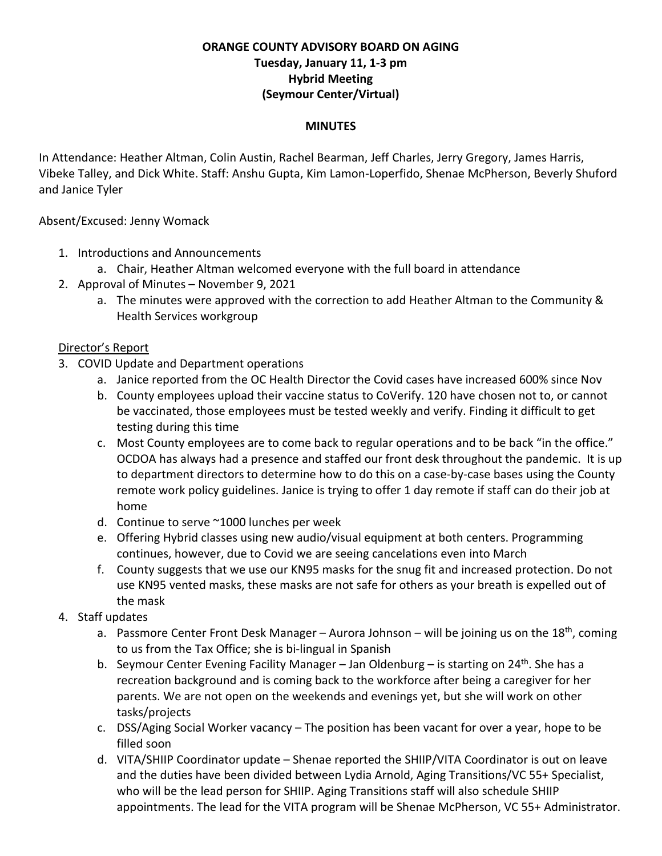### **ORANGE COUNTY ADVISORY BOARD ON AGING Tuesday, January 11, 1-3 pm Hybrid Meeting (Seymour Center/Virtual)**

#### **MINUTES**

In Attendance: Heather Altman, Colin Austin, Rachel Bearman, Jeff Charles, Jerry Gregory, James Harris, Vibeke Talley, and Dick White. Staff: Anshu Gupta, Kim Lamon-Loperfido, Shenae McPherson, Beverly Shuford and Janice Tyler

Absent/Excused: Jenny Womack

- 1. Introductions and Announcements
	- a. Chair, Heather Altman welcomed everyone with the full board in attendance
- 2. Approval of Minutes November 9, 2021
	- a. The minutes were approved with the correction to add Heather Altman to the Community & Health Services workgroup

### Director's Report

- 3. COVID Update and Department operations
	- a. Janice reported from the OC Health Director the Covid cases have increased 600% since Nov
	- b. County employees upload their vaccine status to CoVerify. 120 have chosen not to, or cannot be vaccinated, those employees must be tested weekly and verify. Finding it difficult to get testing during this time
	- c. Most County employees are to come back to regular operations and to be back "in the office." OCDOA has always had a presence and staffed our front desk throughout the pandemic. It is up to department directors to determine how to do this on a case-by-case bases using the County remote work policy guidelines. Janice is trying to offer 1 day remote if staff can do their job at home
	- d. Continue to serve ~1000 lunches per week
	- e. Offering Hybrid classes using new audio/visual equipment at both centers. Programming continues, however, due to Covid we are seeing cancelations even into March
	- f. County suggests that we use our KN95 masks for the snug fit and increased protection. Do not use KN95 vented masks, these masks are not safe for others as your breath is expelled out of the mask
- 4. Staff updates
	- a. Passmore Center Front Desk Manager Aurora Johnson will be joining us on the 18<sup>th</sup>, coming to us from the Tax Office; she is bi-lingual in Spanish
	- b. Seymour Center Evening Facility Manager Jan Oldenburg is starting on 24<sup>th</sup>. She has a recreation background and is coming back to the workforce after being a caregiver for her parents. We are not open on the weekends and evenings yet, but she will work on other tasks/projects
	- c. DSS/Aging Social Worker vacancy The position has been vacant for over a year, hope to be filled soon
	- d. VITA/SHIIP Coordinator update Shenae reported the SHIIP/VITA Coordinator is out on leave and the duties have been divided between Lydia Arnold, Aging Transitions/VC 55+ Specialist, who will be the lead person for SHIIP. Aging Transitions staff will also schedule SHIIP appointments. The lead for the VITA program will be Shenae McPherson, VC 55+ Administrator.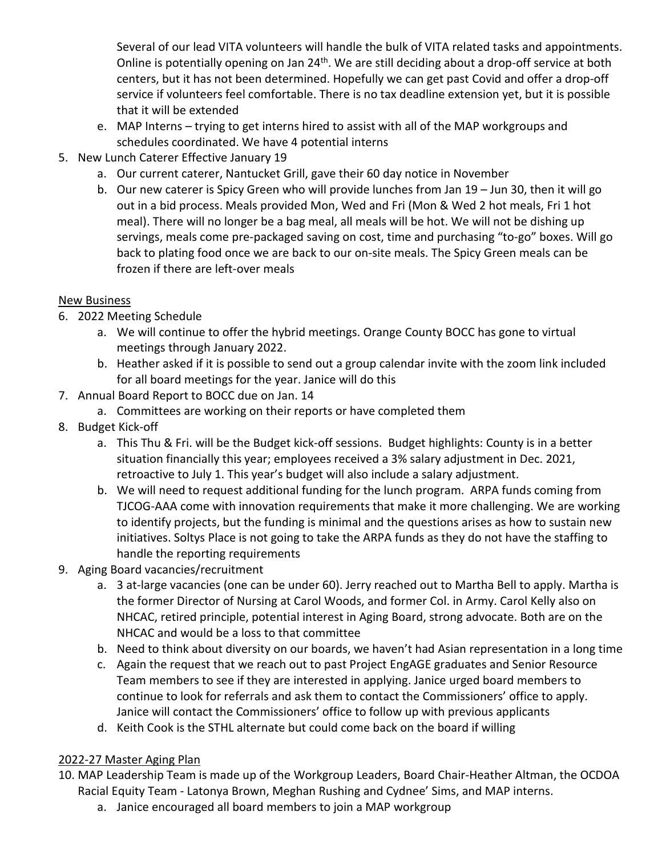Several of our lead VITA volunteers will handle the bulk of VITA related tasks and appointments. Online is potentially opening on Jan 24<sup>th</sup>. We are still deciding about a drop-off service at both centers, but it has not been determined. Hopefully we can get past Covid and offer a drop-off service if volunteers feel comfortable. There is no tax deadline extension yet, but it is possible that it will be extended

- e. MAP Interns trying to get interns hired to assist with all of the MAP workgroups and schedules coordinated. We have 4 potential interns
- 5. New Lunch Caterer Effective January 19
	- a. Our current caterer, Nantucket Grill, gave their 60 day notice in November
	- b. Our new caterer is Spicy Green who will provide lunches from Jan 19 Jun 30, then it will go out in a bid process. Meals provided Mon, Wed and Fri (Mon & Wed 2 hot meals, Fri 1 hot meal). There will no longer be a bag meal, all meals will be hot. We will not be dishing up servings, meals come pre-packaged saving on cost, time and purchasing "to-go" boxes. Will go back to plating food once we are back to our on-site meals. The Spicy Green meals can be frozen if there are left-over meals

## New Business

- 6. 2022 Meeting Schedule
	- a. We will continue to offer the hybrid meetings. Orange County BOCC has gone to virtual meetings through January 2022.
	- b. Heather asked if it is possible to send out a group calendar invite with the zoom link included for all board meetings for the year. Janice will do this
- 7. Annual Board Report to BOCC due on Jan. 14
	- a. Committees are working on their reports or have completed them
- 8. Budget Kick-off
	- a. This Thu & Fri. will be the Budget kick-off sessions. Budget highlights: County is in a better situation financially this year; employees received a 3% salary adjustment in Dec. 2021, retroactive to July 1. This year's budget will also include a salary adjustment.
	- b. We will need to request additional funding for the lunch program. ARPA funds coming from TJCOG-AAA come with innovation requirements that make it more challenging. We are working to identify projects, but the funding is minimal and the questions arises as how to sustain new initiatives. Soltys Place is not going to take the ARPA funds as they do not have the staffing to handle the reporting requirements
- 9. Aging Board vacancies/recruitment
	- a. 3 at-large vacancies (one can be under 60). Jerry reached out to Martha Bell to apply. Martha is the former Director of Nursing at Carol Woods, and former Col. in Army. Carol Kelly also on NHCAC, retired principle, potential interest in Aging Board, strong advocate. Both are on the NHCAC and would be a loss to that committee
	- b. Need to think about diversity on our boards, we haven't had Asian representation in a long time
	- c. Again the request that we reach out to past Project EngAGE graduates and Senior Resource Team members to see if they are interested in applying. Janice urged board members to continue to look for referrals and ask them to contact the Commissioners' office to apply. Janice will contact the Commissioners' office to follow up with previous applicants
	- d. Keith Cook is the STHL alternate but could come back on the board if willing

# 2022-27 Master Aging Plan

- 10. MAP Leadership Team is made up of the Workgroup Leaders, Board Chair-Heather Altman, the OCDOA Racial Equity Team - Latonya Brown, Meghan Rushing and Cydnee' Sims, and MAP interns.
	- a. Janice encouraged all board members to join a MAP workgroup